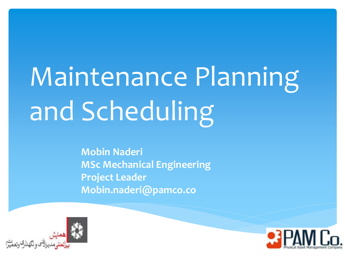# Maintenance Planning and Scheduling

**Mobin Naderi MSc Mechanical Engineering Project Leader Mobin.naderi@pamco.co**



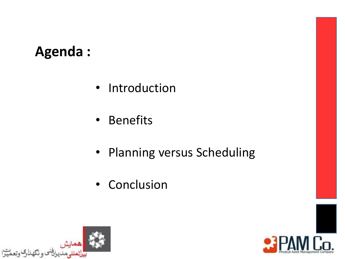# **Agenda :**

- Introduction
- Benefits
- Planning versus Scheduling
- Conclusion



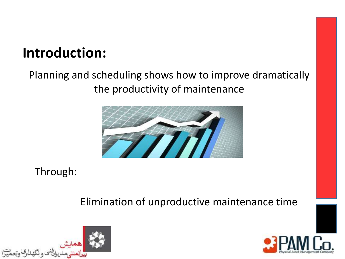# **Introduction:**

#### Planning and scheduling shows how to improve dramatically the productivity of maintenance



Through:

Elimination of unproductive maintenance time



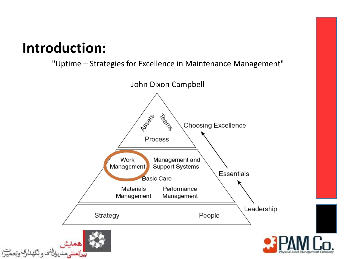# **Introduction:**

"Uptime – Strategies for Excellence in Maintenance Management"

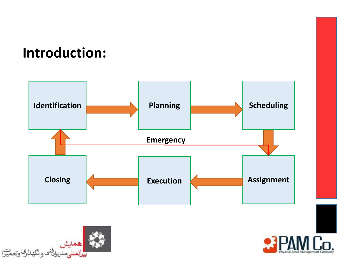## **Introduction:**





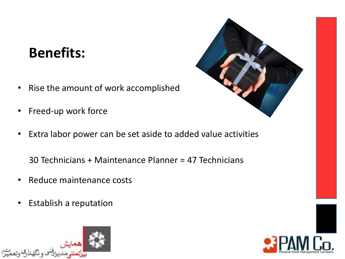# **Benefits:**

- Rise the amount of work accomplished
- Freed-up work force
- Extra labor power can be set aside to added value activities

30 Technicians + Maintenance Planner = 47 Technicians

- Reduce maintenance costs
- Establish a reputation





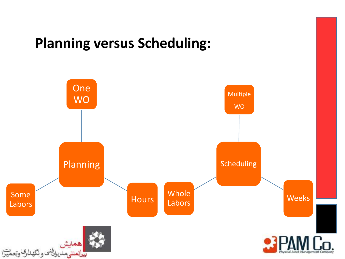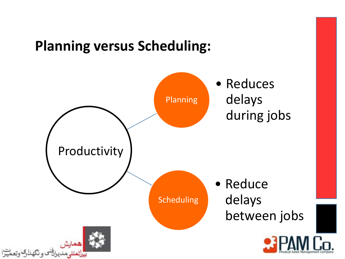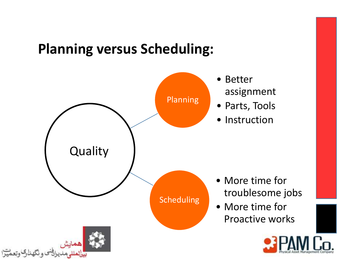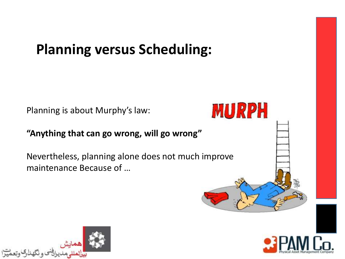Planning is about Murphy's law:

#### **"Anything that can go wrong, will go wrong"**

Nevertheless, planning alone does not much improve maintenance Because of …





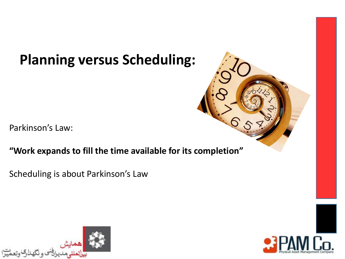Parkinson's Law:

#### **"Work expands to fill the time available for its completion"**

Scheduling is about Parkinson's Law



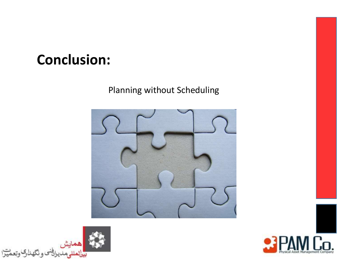## **Conclusion:**

#### Planning without Scheduling





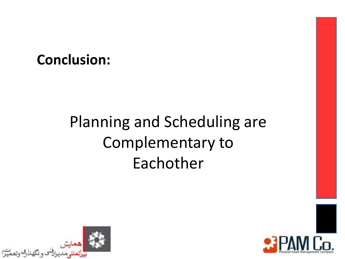## **Conclusion:**

# Planning and Scheduling are Complementary to Eachother